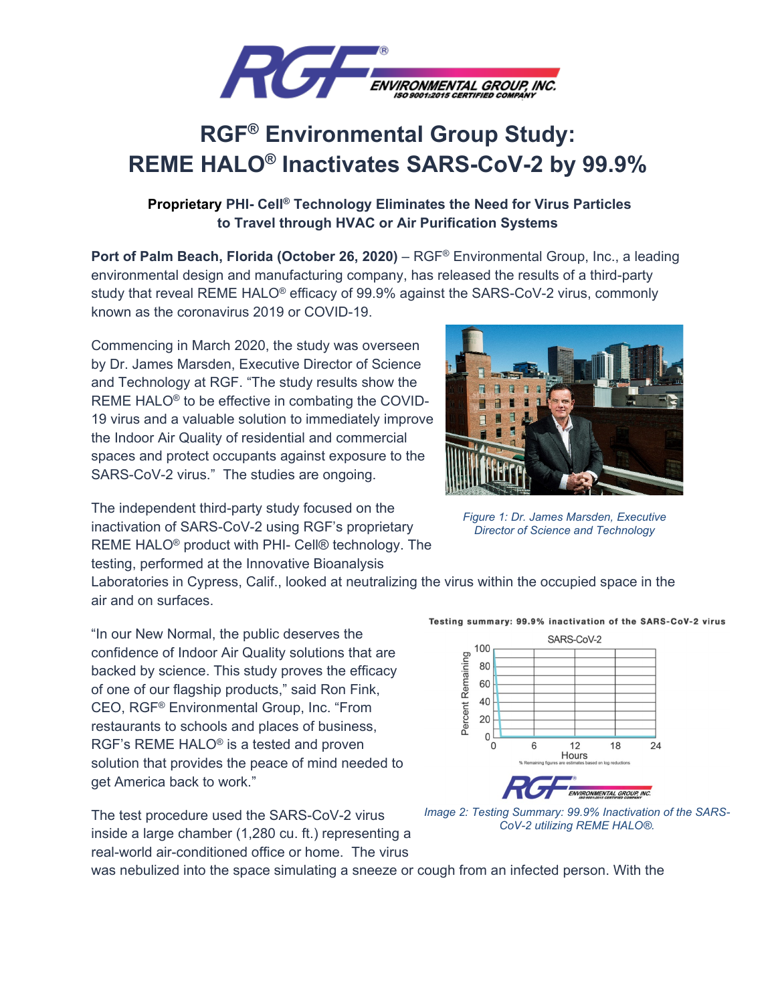

## **RGF® Environmental Group Study: REME HALO® Inactivates SARS-CoV-2 by 99.9%**

## **Proprietary PHI- Cell® Technology Eliminates the Need for Virus Particles to Travel through HVAC or Air Purification Systems**

**Port of Palm Beach, Florida (October 26, 2020)** – RGF® Environmental Group, Inc., a leading environmental design and manufacturing company, has released the results of a third-party study that reveal REME HALO® efficacy of 99.9% against the SARS-CoV-2 virus, commonly known as the coronavirus 2019 or COVID-19.

Commencing in March 2020, the study was overseen by Dr. James Marsden, Executive Director of Science and Technology at RGF. "The study results show the REME HALO® to be effective in combating the COVID-19 virus and a valuable solution to immediately improve the Indoor Air Quality of residential and commercial spaces and protect occupants against exposure to the SARS-CoV-2 virus." The studies are ongoing.

The independent third-party study focused on the inactivation of SARS-CoV-2 using RGF's proprietary REME HALO® product with PHI- Cell® technology. The testing, performed at the Innovative Bioanalysis

Laboratories in Cypress, Calif., looked at neutralizing the virus within the occupied space in the air and on surfaces.

"In our New Normal, the public deserves the confidence of Indoor Air Quality solutions that are backed by science. This study proves the efficacy of one of our flagship products," said Ron Fink, CEO, RGF® Environmental Group, Inc. "From restaurants to schools and places of business, RGF's REME HALO® is a tested and proven solution that provides the peace of mind needed to get America back to work."

The test procedure used the SARS-CoV-2 virus inside a large chamber (1,280 cu. ft.) representing a real-world air-conditioned office or home. The virus



*Image 2: Testing Summary: 99.9% Inactivation of the SARS-CoV-2 utilizing REME HALO®.* 

Testing summary: 99.9% inactivation of the SARS-CoV-2 virus

*Figure 1: Dr. James Marsden, Executive Director of Science and Technology* 



was nebulized into the space simulating a sneeze or cough from an infected person. With the